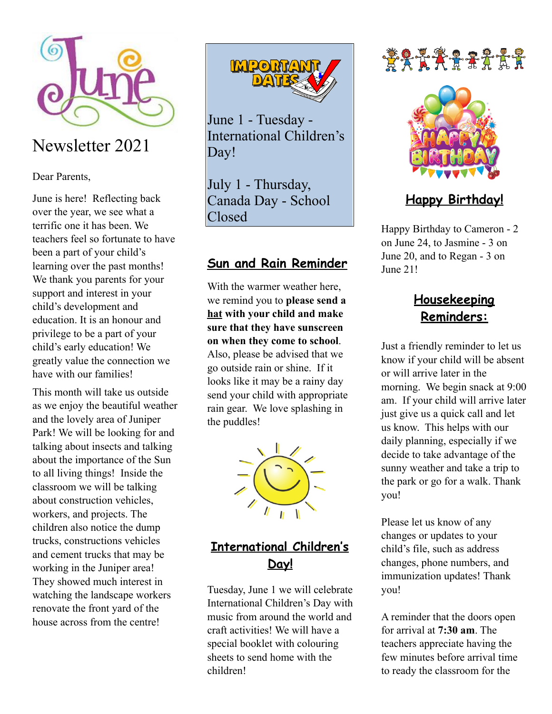

## Newsletter 2021

Dear Parents,

June is here! Reflecting back over the year, we see what a terrific one it has been. We teachers feel so fortunate to have been a part of your child's learning over the past months! We thank you parents for your support and interest in your child's development and education. It is an honour and privilege to be a part of your child's early education! We greatly value the connection we have with our families!

This month will take us outside as we enjoy the beautiful weather and the lovely area of Juniper Park! We will be looking for and talking about insects and talking about the importance of the Sun to all living things! Inside the classroom we will be talking about construction vehicles, workers, and projects. The children also notice the dump trucks, constructions vehicles and cement trucks that may be working in the Juniper area! They showed much interest in watching the landscape workers renovate the front yard of the house across from the centre!



June 1 - Tuesday - International Children's Day!

July 1 - Thursday, Canada Day - School Closed

#### **Sun and Rain Reminder**

With the warmer weather here, we remind you to **please send a hat with your child and make sure that they have sunscreen on when they come to school**.

Also, please be advised that we go outside rain or shine. If it looks like it may be a rainy day send your child with appropriate rain gear. We love splashing in the puddles!



### **International Children's Day!**

Tuesday, June 1 we will celebrate International Children's Day with music from around the world and craft activities! We will have a special booklet with colouring sheets to send home with the children!

# *ŠARA RALI*



### **Happy Birthday!**

Happy Birthday to Cameron - 2 on June 24, to Jasmine - 3 on June 20, and to Regan - 3 on June 21!

### **Housekeeping Reminders:**

Just a friendly reminder to let us know if your child will be absent or will arrive later in the morning. We begin snack at 9:00 am. If your child will arrive later just give us a quick call and let us know. This helps with our daily planning, especially if we decide to take advantage of the sunny weather and take a trip to the park or go for a walk. Thank you!

Please let us know of any changes or updates to your child's file, such as address changes, phone numbers, and immunization updates! Thank you!

A reminder that the doors open for arrival at **7:30 am**. The teachers appreciate having the few minutes before arrival time to ready the classroom for the